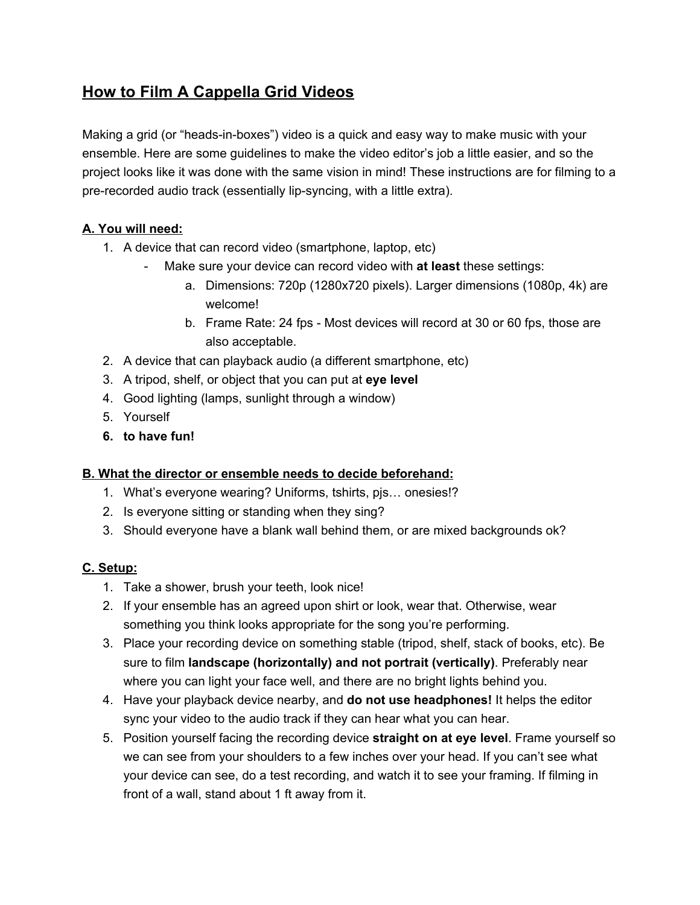# **How to Film A Cappella Grid Videos**

Making a grid (or "heads-in-boxes") video is a quick and easy way to make music with your ensemble. Here are some guidelines to make the video editor's job a little easier, and so the project looks like it was done with the same vision in mind! These instructions are for filming to a pre-recorded audio track (essentially lip-syncing, with a little extra).

#### **A. You will need:**

- 1. A device that can record video (smartphone, laptop, etc)
	- Make sure your device can record video with **at least** these settings:
		- a. Dimensions: 720p (1280x720 pixels). Larger dimensions (1080p, 4k) are welcome!
		- b. Frame Rate: 24 fps Most devices will record at 30 or 60 fps, those are also acceptable.
- 2. A device that can playback audio (a different smartphone, etc)
- 3. A tripod, shelf, or object that you can put at **eye level**
- 4. Good lighting (lamps, sunlight through a window)
- 5. Yourself
- **6. to have fun!**

#### **B. What the director or ensemble needs to decide beforehand:**

- 1. What's everyone wearing? Uniforms, tshirts, pjs… onesies!?
- 2. Is everyone sitting or standing when they sing?
- 3. Should everyone have a blank wall behind them, or are mixed backgrounds ok?

## **C. Setup:**

- 1. Take a shower, brush your teeth, look nice!
- 2. If your ensemble has an agreed upon shirt or look, wear that. Otherwise, wear something you think looks appropriate for the song you're performing.
- 3. Place your recording device on something stable (tripod, shelf, stack of books, etc). Be sure to film **landscape (horizontally) and not portrait (vertically)**. Preferably near where you can light your face well, and there are no bright lights behind you.
- 4. Have your playback device nearby, and **do not use headphones!** It helps the editor sync your video to the audio track if they can hear what you can hear.
- 5. Position yourself facing the recording device **straight on at eye level**. Frame yourself so we can see from your shoulders to a few inches over your head. If you can't see what your device can see, do a test recording, and watch it to see your framing. If filming in front of a wall, stand about 1 ft away from it.